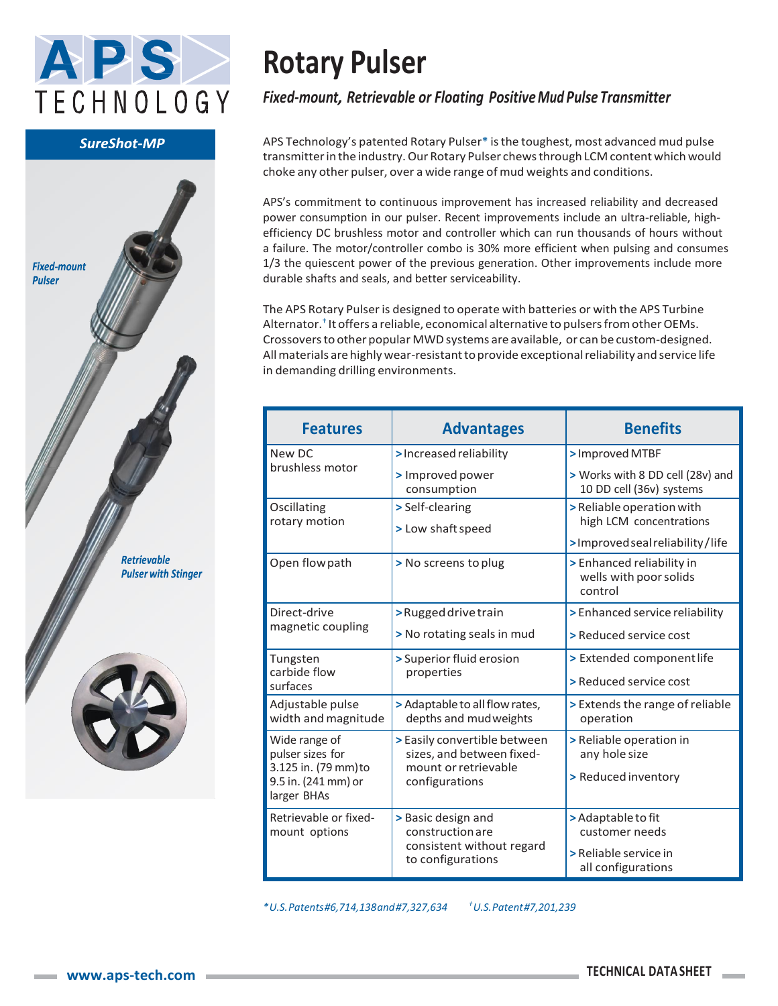

#### **SureShot-MP**



# **Rotary Pulser**

### *Fixed-mount, Retrievable or Floating Positive Mud Pulse Transmitter*

APS Technology's patented Rotary Pulser\* is the toughest, most advanced mud pulse transmitter in the industry. Our Rotary Pulser chews through LCM content which would choke any other pulser, over a wide range of mud weights and conditions.

APS's commitment to continuous improvement has increased reliability and decreased power consumption in our pulser. Recent improvements include an ultra-reliable, highefficiency DC brushless motor and controller which can run thousands of hours without a failure. The motor/controller combo is 30% more efficient when pulsing and consumes 1/3 the quiescent power of the previous generation. Other improvements include more durable shafts and seals, and better serviceability.

The APS Rotary Pulser is designed to operate with batteries or with the APS Turbine Alternator.† It offers a reliable, economical alternative to pulsersfromotherOEMs. Crossoversto other popular MWDsystems are available, or can be custom-designed. Allmaterials arehighlywear-resistanttoprovide exceptionalreliability and service life in demanding drilling environments.

| <b>Features</b>                                                                                 | <b>Advantages</b>                                                                                   | <b>Benefits</b>                                                |
|-------------------------------------------------------------------------------------------------|-----------------------------------------------------------------------------------------------------|----------------------------------------------------------------|
| New DC<br>brushless motor                                                                       | > Increased reliability                                                                             | > Improved MTBF                                                |
|                                                                                                 | > Improved power<br>consumption                                                                     | > Works with 8 DD cell (28v) and<br>10 DD cell (36v) systems   |
| Oscillating<br>rotary motion                                                                    | > Self-clearing<br>> Low shaft speed                                                                | > Reliable operation with<br>high LCM concentrations           |
|                                                                                                 |                                                                                                     | >Improved seal reliability/life                                |
| Open flow path                                                                                  | > No screens to plug                                                                                | > Enhanced reliability in<br>wells with poor solids<br>control |
| Direct-drive<br>magnetic coupling                                                               | >Rugged drive train                                                                                 | > Enhanced service reliability                                 |
|                                                                                                 | > No rotating seals in mud                                                                          | > Reduced service cost                                         |
| Tungsten<br>carbide flow<br>surfaces                                                            | > Superior fluid erosion<br>properties                                                              | > Extended component life                                      |
|                                                                                                 |                                                                                                     | > Reduced service cost                                         |
| Adjustable pulse<br>width and magnitude                                                         | > Adaptable to all flow rates,<br>depths and mudweights                                             | > Extends the range of reliable<br>operation                   |
| Wide range of<br>pulser sizes for<br>3.125 in. (79 mm) to<br>9.5 in. (241 mm) or<br>larger BHAs | > Easily convertible between<br>sizes, and between fixed-<br>mount or retrievable<br>configurations | > Reliable operation in<br>any hole size                       |
|                                                                                                 |                                                                                                     | > Reduced inventory                                            |
| Retrievable or fixed-<br>mount options                                                          | > Basic design and<br>construction are<br>consistent without regard<br>to configurations            | > Adaptable to fit                                             |
|                                                                                                 |                                                                                                     | customer needs                                                 |
|                                                                                                 |                                                                                                     | > Reliable service in<br>all configurations                    |

*\*U.S.Patents#6,714,138and#7,327,634 †U.S.Patent#7,201,239*